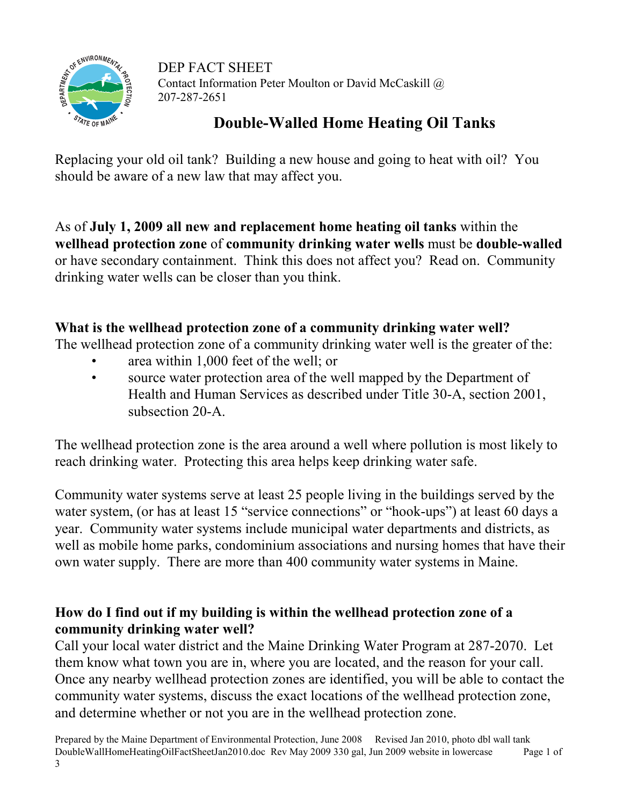

DEP FACT SHEET Contact Information Peter Moulton or David McCaskill @ 207-287-2651

# Double-Walled Home Heating Oil Tanks

Replacing your old oil tank? Building a new house and going to heat with oil? You should be aware of a new law that may affect you.

As of July 1, 2009 all new and replacement home heating oil tanks within the wellhead protection zone of community drinking water wells must be double-walled or have secondary containment. Think this does not affect you? Read on. Community drinking water wells can be closer than you think.

### What is the wellhead protection zone of a community drinking water well?

The wellhead protection zone of a community drinking water well is the greater of the:

- area within 1,000 feet of the well; or
- source water protection area of the well mapped by the Department of Health and Human Services as described under Title 30-A, section 2001, subsection 20-A.

The wellhead protection zone is the area around a well where pollution is most likely to reach drinking water. Protecting this area helps keep drinking water safe.

Community water systems serve at least 25 people living in the buildings served by the water system, (or has at least 15 "service connections" or "hook-ups") at least 60 days a year. Community water systems include municipal water departments and districts, as well as mobile home parks, condominium associations and nursing homes that have their own water supply. There are more than 400 community water systems in Maine.

## How do I find out if my building is within the wellhead protection zone of a community drinking water well?

Call your local water district and the Maine Drinking Water Program at 287-2070. Let them know what town you are in, where you are located, and the reason for your call. Once any nearby wellhead protection zones are identified, you will be able to contact the community water systems, discuss the exact locations of the wellhead protection zone, and determine whether or not you are in the wellhead protection zone.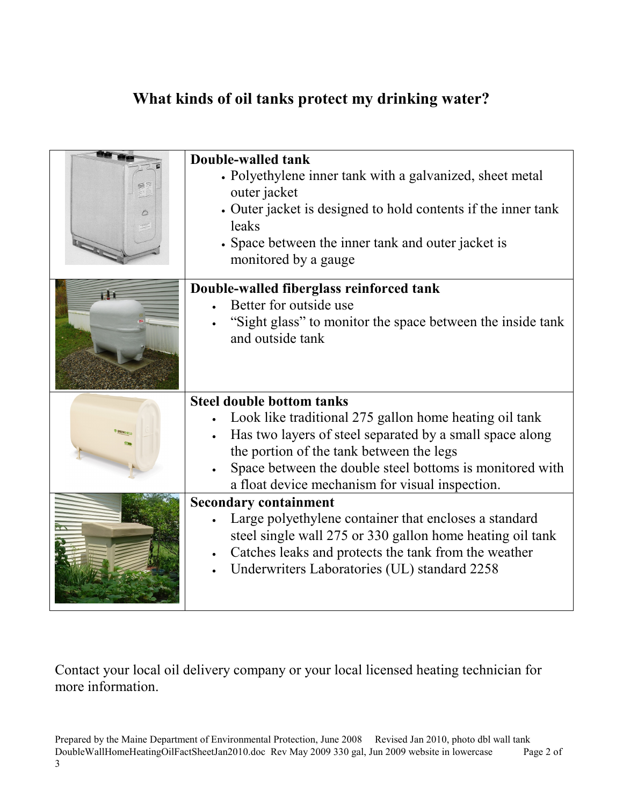# What kinds of oil tanks protect my drinking water?

|    | Double-walled tank<br>• Polyethylene inner tank with a galvanized, sheet metal<br>outer jacket<br>• Outer jacket is designed to hold contents if the inner tank<br>leaks<br>• Space between the inner tank and outer jacket is<br>monitored by a gauge                                                            |
|----|-------------------------------------------------------------------------------------------------------------------------------------------------------------------------------------------------------------------------------------------------------------------------------------------------------------------|
| FF | Double-walled fiberglass reinforced tank<br>Better for outside use<br>"Sight glass" to monitor the space between the inside tank<br>and outside tank                                                                                                                                                              |
|    | <b>Steel double bottom tanks</b><br>Look like traditional 275 gallon home heating oil tank<br>Has two layers of steel separated by a small space along<br>the portion of the tank between the legs<br>Space between the double steel bottoms is monitored with<br>a float device mechanism for visual inspection. |
|    | <b>Secondary containment</b><br>Large polyethylene container that encloses a standard<br>steel single wall 275 or 330 gallon home heating oil tank<br>Catches leaks and protects the tank from the weather<br>Underwriters Laboratories (UL) standard 2258                                                        |

Contact your local oil delivery company or your local licensed heating technician for more information.